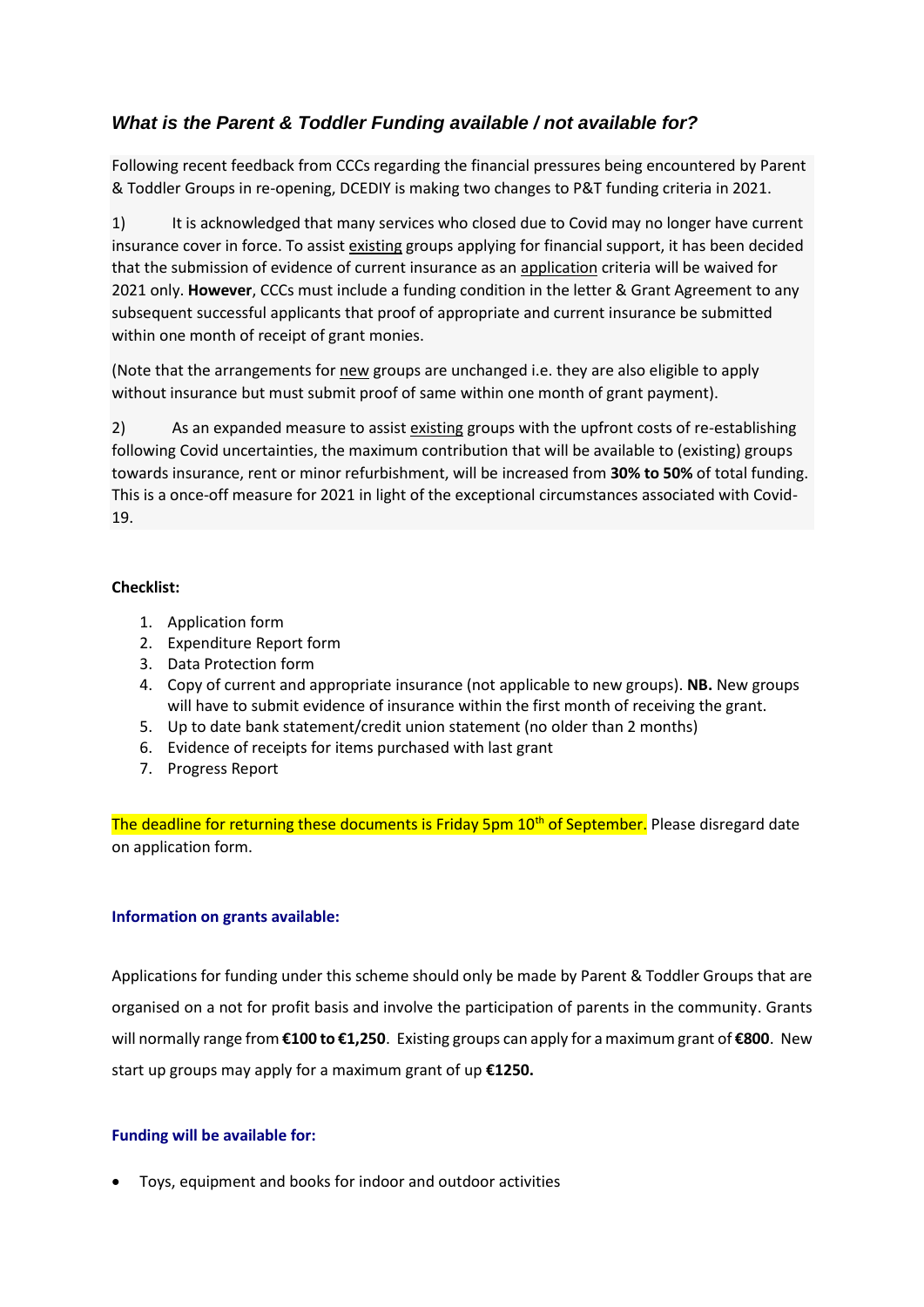## *What is the Parent & Toddler Funding available / not available for?*

Following recent feedback from CCCs regarding the financial pressures being encountered by Parent & Toddler Groups in re-opening, DCEDIY is making two changes to P&T funding criteria in 2021.

1) It is acknowledged that many services who closed due to Covid may no longer have current insurance cover in force. To assist existing groups applying for financial support, it has been decided that the submission of evidence of current insurance as an application criteria will be waived for 2021 only. **However**, CCCs must include a funding condition in the letter & Grant Agreement to any subsequent successful applicants that proof of appropriate and current insurance be submitted within one month of receipt of grant monies.

(Note that the arrangements for new groups are unchanged i.e. they are also eligible to apply without insurance but must submit proof of same within one month of grant payment).

2) As an expanded measure to assist existing groups with the upfront costs of re-establishing following Covid uncertainties, the maximum contribution that will be available to (existing) groups towards insurance, rent or minor refurbishment, will be increased from **30% to 50%** of total funding. This is a once-off measure for 2021 in light of the exceptional circumstances associated with Covid-19.

## **Checklist:**

- 1. Application form
- 2. Expenditure Report form
- 3. Data Protection form
- 4. Copy of current and appropriate insurance (not applicable to new groups). **NB.** New groups will have to submit evidence of insurance within the first month of receiving the grant.
- 5. Up to date bank statement/credit union statement (no older than 2 months)
- 6. Evidence of receipts for items purchased with last grant
- 7. Progress Report

The deadline for returning these documents is Friday 5pm 10<sup>th</sup> of September. Please disregard date on application form.

## **Information on grants available:**

Applications for funding under this scheme should only be made by Parent & Toddler Groups that are organised on a not for profit basis and involve the participation of parents in the community. Grants will normally range from **€100 to €1,250**. Existing groups can apply for a maximum grant of **€800**. New start up groups may apply for a maximum grant of up **€1250.**

## **Funding will be available for:**

• Toys, equipment and books for indoor and outdoor activities